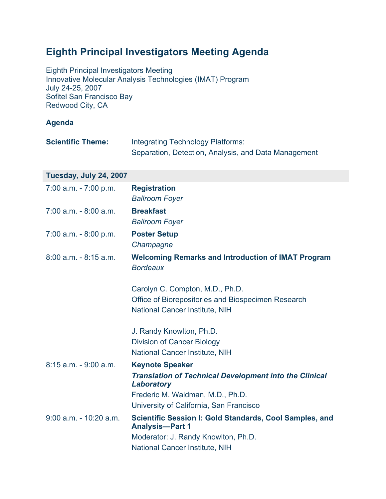## **Eighth Principal Investigators Meeting Agenda**

Eighth Principal Investigators Meeting Innovative Molecular Analysis Technologies (IMAT) Program July 24-25, 2007 Sofitel San Francisco Bay Redwood City, CA

## **Agenda**

| <b>Scientific Theme:</b> | <b>Integrating Technology Platforms:</b>             |
|--------------------------|------------------------------------------------------|
|                          | Separation, Detection, Analysis, and Data Management |

## **Tuesday, July 24, 2007**

| $7:00$ a.m. $-7:00$ p.m.   | <b>Registration</b><br><b>Ballroom Foyer</b>                                                                                                                                         |
|----------------------------|--------------------------------------------------------------------------------------------------------------------------------------------------------------------------------------|
| $7:00$ a.m. $-8:00$ a.m.   | <b>Breakfast</b><br><b>Ballroom Foyer</b>                                                                                                                                            |
| $7:00$ a.m. $-8:00$ p.m.   | <b>Poster Setup</b><br>Champagne                                                                                                                                                     |
| $8:00$ a.m. $-8:15$ a.m.   | <b>Welcoming Remarks and Introduction of IMAT Program</b><br><b>Bordeaux</b>                                                                                                         |
|                            | Carolyn C. Compton, M.D., Ph.D.<br>Office of Biorepositories and Biospecimen Research<br><b>National Cancer Institute, NIH</b>                                                       |
|                            | J. Randy Knowlton, Ph.D.<br><b>Division of Cancer Biology</b><br>National Cancer Institute, NIH                                                                                      |
| 8:15 a.m. - 9:00 a.m.      | <b>Keynote Speaker</b><br><b>Translation of Technical Development into the Clinical</b><br>Laboratory<br>Frederic M. Waldman, M.D., Ph.D.<br>University of California, San Francisco |
| $9:00$ a.m. - $10:20$ a.m. | Scientific Session I: Gold Standards, Cool Samples, and<br><b>Analysis-Part 1</b><br>Moderator: J. Randy Knowlton, Ph.D.<br><b>National Cancer Institute, NIH</b>                    |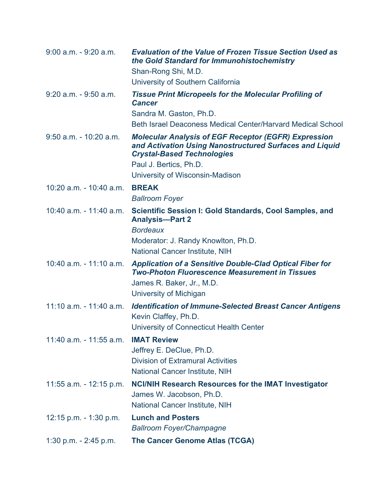| $9:00$ a.m. $-9:20$ a.m.    | <b>Evaluation of the Value of Frozen Tissue Section Used as</b><br>the Gold Standard for Immunohistochemistry                                               |
|-----------------------------|-------------------------------------------------------------------------------------------------------------------------------------------------------------|
|                             | Shan-Rong Shi, M.D.                                                                                                                                         |
|                             | University of Southern California                                                                                                                           |
| $9:20$ a.m. $-9:50$ a.m.    | <b>Tissue Print Micropeels for the Molecular Profiling of</b><br><b>Cancer</b>                                                                              |
|                             | Sandra M. Gaston, Ph.D.                                                                                                                                     |
|                             | Beth Israel Deaconess Medical Center/Harvard Medical School                                                                                                 |
| $9:50$ a.m. - 10:20 a.m.    | <b>Molecular Analysis of EGF Receptor (EGFR) Expression</b><br>and Activation Using Nanostructured Surfaces and Liquid<br><b>Crystal-Based Technologies</b> |
|                             | Paul J. Bertics, Ph.D.                                                                                                                                      |
|                             | University of Wisconsin-Madison                                                                                                                             |
| $10:20$ a.m. - $10:40$ a.m. | <b>BREAK</b>                                                                                                                                                |
|                             | <b>Ballroom Foyer</b>                                                                                                                                       |
| 10:40 a.m. - 11:40 a.m.     | Scientific Session I: Gold Standards, Cool Samples, and<br><b>Analysis-Part 2</b>                                                                           |
|                             | <b>Bordeaux</b>                                                                                                                                             |
|                             | Moderator: J. Randy Knowlton, Ph.D.                                                                                                                         |
|                             | <b>National Cancer Institute, NIH</b>                                                                                                                       |
| 10:40 a.m. - 11:10 a.m.     | <b>Application of a Sensitive Double-Clad Optical Fiber for</b><br><b>Two-Photon Fluorescence Measurement in Tissues</b>                                    |
|                             | James R. Baker, Jr., M.D.                                                                                                                                   |
|                             | University of Michigan                                                                                                                                      |
| $11:10$ a.m. $-11:40$ a.m.  | <b>Identification of Immune-Selected Breast Cancer Antigens</b>                                                                                             |
|                             | Kevin Claffey, Ph.D.                                                                                                                                        |
|                             | University of Connecticut Health Center                                                                                                                     |
| 11:40 a.m. - 11:55 a.m.     | <b>IMAT Review</b>                                                                                                                                          |
|                             | Jeffrey E. DeClue, Ph.D.                                                                                                                                    |
|                             | <b>Division of Extramural Activities</b>                                                                                                                    |
|                             | <b>National Cancer Institute, NIH</b>                                                                                                                       |
| 11:55 a.m. - 12:15 p.m.     | <b>NCI/NIH Research Resources for the IMAT Investigator</b>                                                                                                 |
|                             | James W. Jacobson, Ph.D.                                                                                                                                    |
|                             | <b>National Cancer Institute, NIH</b>                                                                                                                       |
| 12:15 p.m. - 1:30 p.m.      | <b>Lunch and Posters</b>                                                                                                                                    |
|                             | <b>Ballroom Foyer/Champagne</b>                                                                                                                             |
| 1:30 p.m. $- 2:45$ p.m.     | The Cancer Genome Atlas (TCGA)                                                                                                                              |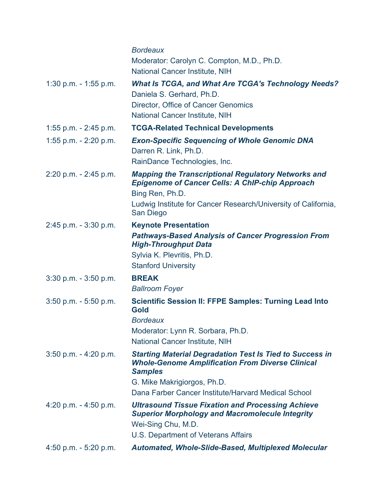|                          | <b>Bordeaux</b><br>Moderator: Carolyn C. Compton, M.D., Ph.D.<br><b>National Cancer Institute, NIH</b>                                                                                                                             |
|--------------------------|------------------------------------------------------------------------------------------------------------------------------------------------------------------------------------------------------------------------------------|
| 1:30 p.m. $-$ 1:55 p.m.  | <b>What Is TCGA, and What Are TCGA's Technology Needs?</b><br>Daniela S. Gerhard, Ph.D.<br>Director, Office of Cancer Genomics<br><b>National Cancer Institute, NIH</b>                                                            |
| 1:55 p.m. $-$ 2:45 p.m.  | <b>TCGA-Related Technical Developments</b>                                                                                                                                                                                         |
| 1:55 p.m. - 2:20 p.m.    | <b>Exon-Specific Sequencing of Whole Genomic DNA</b><br>Darren R. Link, Ph.D.<br>RainDance Technologies, Inc.                                                                                                                      |
| 2:20 p.m. - 2:45 p.m.    | <b>Mapping the Transcriptional Regulatory Networks and</b><br><b>Epigenome of Cancer Cells: A ChIP-chip Approach</b><br>Bing Ren, Ph.D.<br>Ludwig Institute for Cancer Research/University of California,<br>San Diego             |
| $2:45$ p.m. $-3:30$ p.m. | <b>Keynote Presentation</b><br><b>Pathways-Based Analysis of Cancer Progression From</b><br><b>High-Throughput Data</b><br>Sylvia K. Plevritis, Ph.D.<br><b>Stanford University</b>                                                |
| $3:30$ p.m. $-3:50$ p.m. | <b>BREAK</b><br><b>Ballroom Foyer</b>                                                                                                                                                                                              |
| $3:50$ p.m. $-5:50$ p.m. | <b>Scientific Session II: FFPE Samples: Turning Lead Into</b><br><b>Gold</b><br><b>Bordeaux</b><br>Moderator: Lynn R. Sorbara, Ph.D.<br><b>National Cancer Institute, NIH</b>                                                      |
| $3:50$ p.m. $-4:20$ p.m. | <b>Starting Material Degradation Test Is Tied to Success in</b><br><b>Whole-Genome Amplification From Diverse Clinical</b><br><b>Samples</b><br>G. Mike Makrigiorgos, Ph.D.<br>Dana Farber Cancer Institute/Harvard Medical School |
| 4:20 p.m. $-$ 4:50 p.m.  | <b>Ultrasound Tissue Fixation and Processing Achieve</b><br><b>Superior Morphology and Macromolecule Integrity</b><br>Wei-Sing Chu, M.D.<br>U.S. Department of Veterans Affairs                                                    |
| 4:50 p.m. $-$ 5:20 p.m.  | <b>Automated, Whole-Slide-Based, Multiplexed Molecular</b>                                                                                                                                                                         |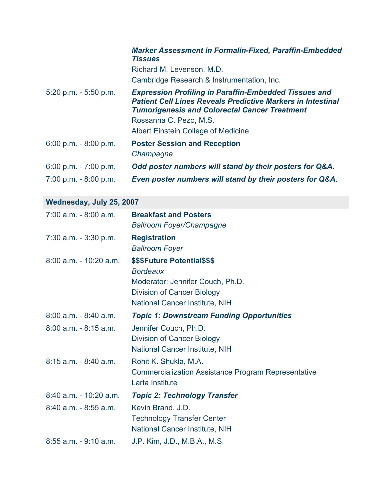|                          | <b>Marker Assessment in Formalin-Fixed, Paraffin-Embedded</b><br><b>Tissues</b>                                                                                                                                                                             |
|--------------------------|-------------------------------------------------------------------------------------------------------------------------------------------------------------------------------------------------------------------------------------------------------------|
|                          | Richard M. Levenson, M.D.                                                                                                                                                                                                                                   |
|                          | Cambridge Research & Instrumentation, Inc.                                                                                                                                                                                                                  |
| $5:20$ p.m. $-5:50$ p.m. | <b>Expression Profiling in Paraffin-Embedded Tissues and</b><br><b>Patient Cell Lines Reveals Predictive Markers in Intestinal</b><br><b>Tumorigenesis and Colorectal Cancer Treatment</b><br>Rossanna C. Pezo, M.S.<br>Albert Einstein College of Medicine |
| $6:00$ p.m. $-8:00$ p.m. | <b>Poster Session and Reception</b><br>Champagne                                                                                                                                                                                                            |
| $6:00$ p.m. $-7:00$ p.m. | Odd poster numbers will stand by their posters for Q&A.                                                                                                                                                                                                     |
| $7:00$ p.m. $-8:00$ p.m. | Even poster numbers will stand by their posters for Q&A.                                                                                                                                                                                                    |

## **Wednesday, July 25, 2007**

| $7:00$ a.m. $-8:00$ a.m.  | <b>Breakfast and Posters</b><br><b>Ballroom Foyer/Champagne</b>                                                                                                          |
|---------------------------|--------------------------------------------------------------------------------------------------------------------------------------------------------------------------|
| $7:30$ a.m. $-3:30$ p.m.  | <b>Registration</b><br><b>Ballroom Foyer</b>                                                                                                                             |
| $8:00$ a.m. $-10:20$ a.m. | <b>\$\$\$Future Potential\$\$\$</b><br><b>Bordeaux</b><br>Moderator: Jennifer Couch, Ph.D.<br><b>Division of Cancer Biology</b><br><b>National Cancer Institute, NIH</b> |
| $8:00$ a.m. $-8:40$ a.m.  | <b>Topic 1: Downstream Funding Opportunities</b>                                                                                                                         |
| $8:00$ a.m. $-8:15$ a.m.  | Jennifer Couch, Ph.D.<br><b>Division of Cancer Biology</b><br><b>National Cancer Institute, NIH</b>                                                                      |
| 8:15 a.m. - 8:40 a.m.     | Rohit K. Shukla, M.A.<br><b>Commercialization Assistance Program Representative</b><br>Larta Institute                                                                   |
| 8:40 a.m. - 10:20 a.m.    | <b>Topic 2: Technology Transfer</b>                                                                                                                                      |
| $8:40$ a.m. $-8:55$ a.m.  | Kevin Brand, J.D.<br><b>Technology Transfer Center</b><br><b>National Cancer Institute, NIH</b>                                                                          |
| 8:55 a.m. - 9:10 a.m.     | J.P. Kim, J.D., M.B.A., M.S.                                                                                                                                             |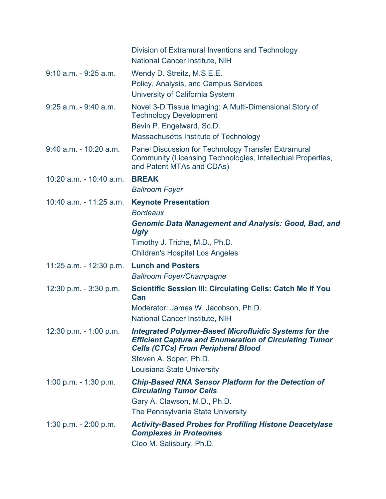|                          | Division of Extramural Inventions and Technology<br>National Cancer Institute, NIH                                                                                                                                                 |
|--------------------------|------------------------------------------------------------------------------------------------------------------------------------------------------------------------------------------------------------------------------------|
| $9:10$ a.m. $-9:25$ a.m. | Wendy D. Streitz, M.S.E.E.<br>Policy, Analysis, and Campus Services<br>University of California System                                                                                                                             |
| $9:25$ a.m. $-9:40$ a.m. | Novel 3-D Tissue Imaging: A Multi-Dimensional Story of<br><b>Technology Development</b><br>Bevin P. Engelward, Sc.D.<br>Massachusetts Institute of Technology                                                                      |
| $9:40$ a.m. - 10:20 a.m. | Panel Discussion for Technology Transfer Extramural<br>Community (Licensing Technologies, Intellectual Properties,<br>and Patent MTAs and CDAs)                                                                                    |
| 10:20 a.m. - 10:40 a.m.  | <b>BREAK</b><br><b>Ballroom Foyer</b>                                                                                                                                                                                              |
| 10:40 a.m. - 11:25 a.m.  | <b>Keynote Presentation</b><br><b>Bordeaux</b><br><b>Genomic Data Management and Analysis: Good, Bad, and</b><br>Ugly<br>Timothy J. Triche, M.D., Ph.D.<br><b>Children's Hospital Los Angeles</b>                                  |
| 11:25 a.m. - 12:30 p.m.  | <b>Lunch and Posters</b><br><b>Ballroom Foyer/Champagne</b>                                                                                                                                                                        |
| 12:30 p.m. - 3:30 p.m.   | <b>Scientific Session III: Circulating Cells: Catch Me If You</b><br>Can<br>Moderator: James W. Jacobson, Ph.D.<br><b>National Cancer Institute, NIH</b>                                                                           |
| 12:30 p.m. $-1:00$ p.m.  | <b>Integrated Polymer-Based Microfluidic Systems for the</b><br><b>Efficient Capture and Enumeration of Circulating Tumor</b><br><b>Cells (CTCs) From Peripheral Blood</b><br>Steven A. Soper, Ph.D.<br>Louisiana State University |
| 1:00 p.m. $-$ 1:30 p.m.  | <b>Chip-Based RNA Sensor Platform for the Detection of</b><br><b>Circulating Tumor Cells</b><br>Gary A. Clawson, M.D., Ph.D.<br>The Pennsylvania State University                                                                  |
| 1:30 p.m. $-$ 2:00 p.m.  | <b>Activity-Based Probes for Profiling Histone Deacetylase</b><br><b>Complexes in Proteomes</b><br>Cleo M. Salisbury, Ph.D.                                                                                                        |